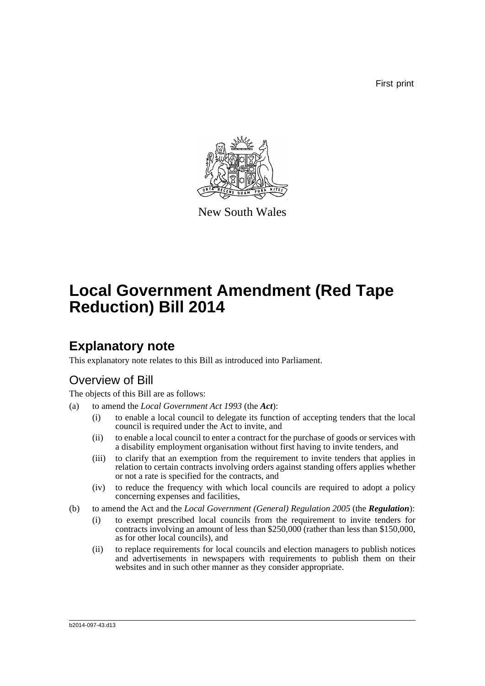First print



New South Wales

# **Local Government Amendment (Red Tape Reduction) Bill 2014**

## **Explanatory note**

This explanatory note relates to this Bill as introduced into Parliament.

### Overview of Bill

The objects of this Bill are as follows:

- (a) to amend the *Local Government Act 1993* (the *Act*):
	- (i) to enable a local council to delegate its function of accepting tenders that the local council is required under the Act to invite, and
	- (ii) to enable a local council to enter a contract for the purchase of goods or services with a disability employment organisation without first having to invite tenders, and
	- (iii) to clarify that an exemption from the requirement to invite tenders that applies in relation to certain contracts involving orders against standing offers applies whether or not a rate is specified for the contracts, and
	- (iv) to reduce the frequency with which local councils are required to adopt a policy concerning expenses and facilities,
- (b) to amend the Act and the *Local Government (General) Regulation 2005* (the *Regulation*):
	- (i) to exempt prescribed local councils from the requirement to invite tenders for contracts involving an amount of less than \$250,000 (rather than less than \$150,000, as for other local councils), and
	- (ii) to replace requirements for local councils and election managers to publish notices and advertisements in newspapers with requirements to publish them on their websites and in such other manner as they consider appropriate.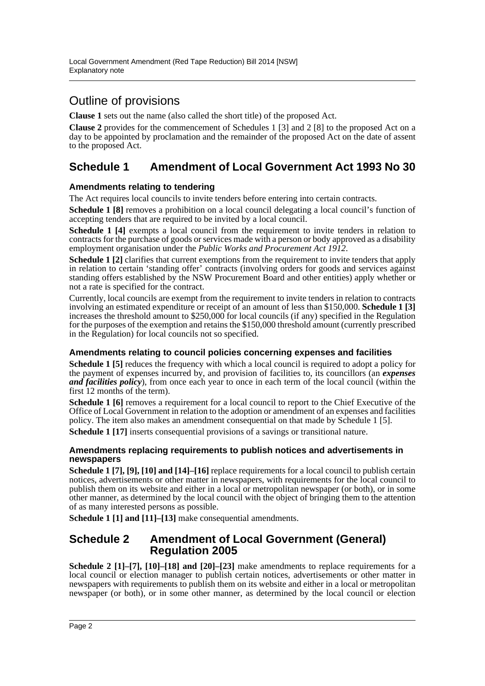## Outline of provisions

**Clause 1** sets out the name (also called the short title) of the proposed Act.

**Clause 2** provides for the commencement of Schedules 1 [3] and 2 [8] to the proposed Act on a day to be appointed by proclamation and the remainder of the proposed Act on the date of assent to the proposed Act.

### **Schedule 1 Amendment of Local Government Act 1993 No 30**

### **Amendments relating to tendering**

The Act requires local councils to invite tenders before entering into certain contracts.

**Schedule 1 [8]** removes a prohibition on a local council delegating a local council's function of accepting tenders that are required to be invited by a local council.

**Schedule 1 [4]** exempts a local council from the requirement to invite tenders in relation to contracts for the purchase of goods or services made with a person or body approved as a disability employment organisation under the *Public Works and Procurement Act 1912*.

**Schedule 1** [2] clarifies that current exemptions from the requirement to invite tenders that apply in relation to certain 'standing offer' contracts (involving orders for goods and services against standing offers established by the NSW Procurement Board and other entities) apply whether or not a rate is specified for the contract.

Currently, local councils are exempt from the requirement to invite tenders in relation to contracts involving an estimated expenditure or receipt of an amount of less than \$150,000. **Schedule 1 [3]** increases the threshold amount to \$250,000 for local councils (if any) specified in the Regulation for the purposes of the exemption and retains the \$150,000 threshold amount (currently prescribed in the Regulation) for local councils not so specified.

### **Amendments relating to council policies concerning expenses and facilities**

**Schedule 1 [5]** reduces the frequency with which a local council is required to adopt a policy for the payment of expenses incurred by, and provision of facilities to, its councillors (an *expenses and facilities policy*), from once each year to once in each term of the local council (within the first 12 months of the term).

**Schedule 1 [6]** removes a requirement for a local council to report to the Chief Executive of the Office of Local Government in relation to the adoption or amendment of an expenses and facilities policy. The item also makes an amendment consequential on that made by Schedule 1 [5].

**Schedule 1 [17]** inserts consequential provisions of a savings or transitional nature.

#### **Amendments replacing requirements to publish notices and advertisements in newspapers**

**Schedule 1 [7], [9], [10] and [14]–[16]** replace requirements for a local council to publish certain notices, advertisements or other matter in newspapers, with requirements for the local council to publish them on its website and either in a local or metropolitan newspaper (or both), or in some other manner, as determined by the local council with the object of bringing them to the attention of as many interested persons as possible.

**Schedule 1 [1] and [11]–[13]** make consequential amendments.

### **Schedule 2 Amendment of Local Government (General) Regulation 2005**

**Schedule 2 [1]–[7], [10]–[18] and [20]–[23]** make amendments to replace requirements for a local council or election manager to publish certain notices, advertisements or other matter in newspapers with requirements to publish them on its website and either in a local or metropolitan newspaper (or both), or in some other manner, as determined by the local council or election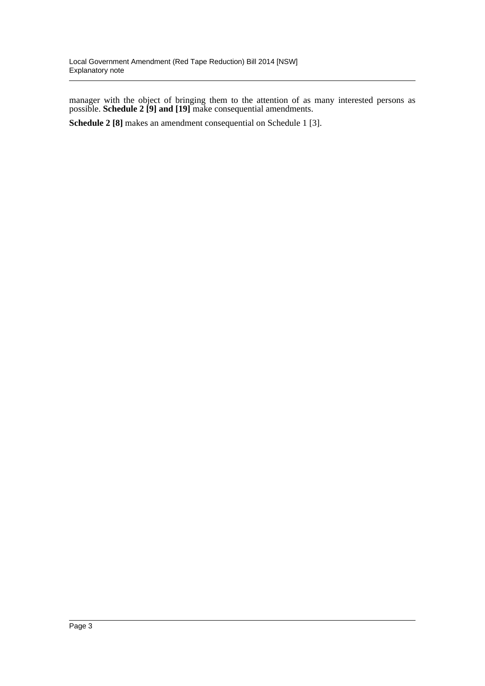manager with the object of bringing them to the attention of as many interested persons as possible. **Schedule 2 [9] and [19]** make consequential amendments.

**Schedule 2 [8]** makes an amendment consequential on Schedule 1 [3].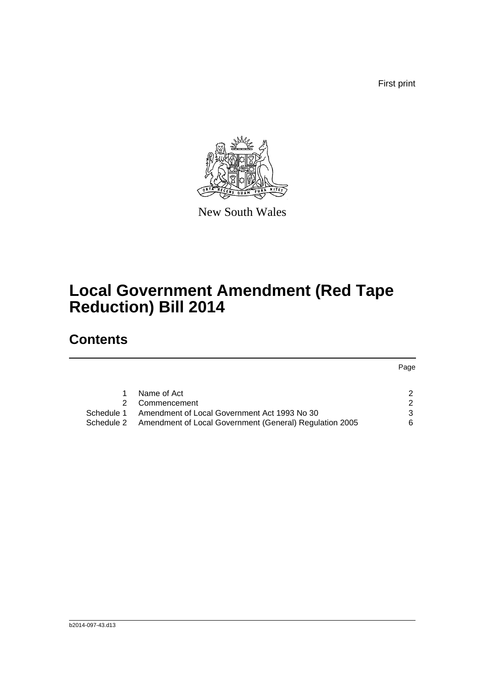First print

Page



New South Wales

# **Local Government Amendment (Red Tape Reduction) Bill 2014**

# **Contents**

| 1. | Name of Act                                                        |    |
|----|--------------------------------------------------------------------|----|
|    | 2 Commencement                                                     | 2  |
|    | Schedule 1 Amendment of Local Government Act 1993 No 30            | 3  |
|    | Schedule 2 Amendment of Local Government (General) Regulation 2005 | 6. |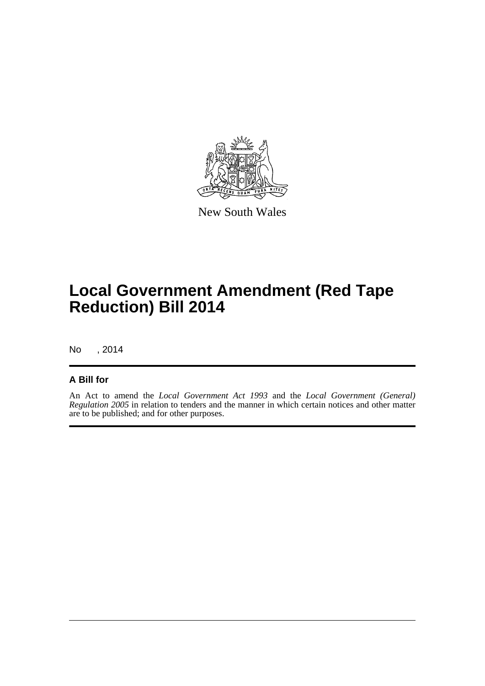

New South Wales

# **Local Government Amendment (Red Tape Reduction) Bill 2014**

No , 2014

### **A Bill for**

An Act to amend the *Local Government Act 1993* and the *Local Government (General) Regulation 2005* in relation to tenders and the manner in which certain notices and other matter are to be published; and for other purposes.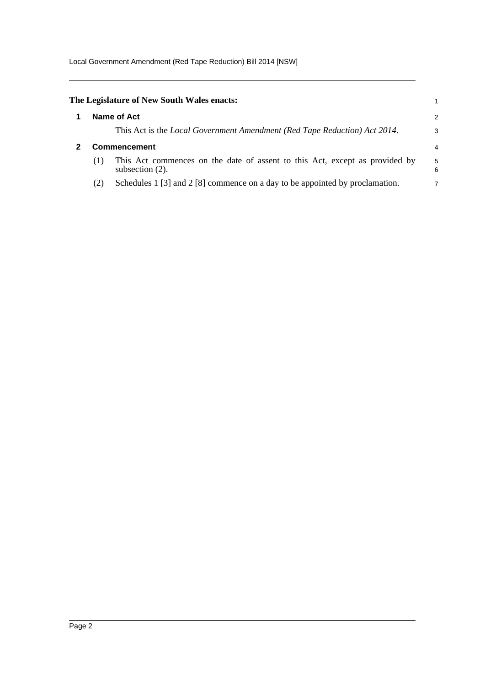Local Government Amendment (Red Tape Reduction) Bill 2014 [NSW]

<span id="page-5-1"></span><span id="page-5-0"></span>

|                     | The Legislature of New South Wales enacts:                                                        |        |
|---------------------|---------------------------------------------------------------------------------------------------|--------|
|                     | Name of Act                                                                                       | 2      |
|                     | This Act is the Local Government Amendment (Red Tape Reduction) Act 2014.                         | 3      |
| <b>Commencement</b> |                                                                                                   |        |
| (1)                 | This Act commences on the date of assent to this Act, except as provided by<br>subsection $(2)$ . | 5<br>6 |
| (2)                 | Schedules $1 \times 3$ and $2 \times 8$ commence on a day to be appointed by proclamation.        | 7      |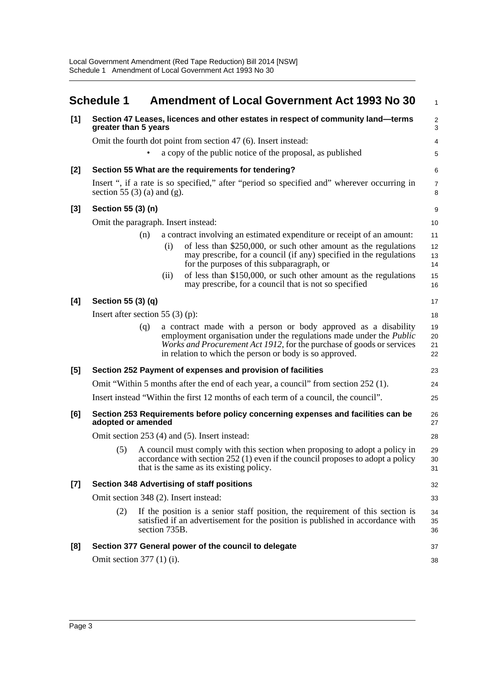<span id="page-6-0"></span>

|       | <b>Schedule 1</b>                                                                                        |                                               | <b>Amendment of Local Government Act 1993 No 30</b>                                                                                                                                                                                                                                      | 1                    |  |  |
|-------|----------------------------------------------------------------------------------------------------------|-----------------------------------------------|------------------------------------------------------------------------------------------------------------------------------------------------------------------------------------------------------------------------------------------------------------------------------------------|----------------------|--|--|
| [1]   | Section 47 Leases, licences and other estates in respect of community land-terms<br>greater than 5 years |                                               |                                                                                                                                                                                                                                                                                          |                      |  |  |
|       |                                                                                                          |                                               | Omit the fourth dot point from section 47 (6). Insert instead:                                                                                                                                                                                                                           | 4                    |  |  |
|       |                                                                                                          |                                               | a copy of the public notice of the proposal, as published                                                                                                                                                                                                                                | 5                    |  |  |
| $[2]$ |                                                                                                          |                                               | Section 55 What are the requirements for tendering?                                                                                                                                                                                                                                      | 6                    |  |  |
|       | section 55 $(3)$ (a) and (g).                                                                            |                                               | Insert ", if a rate is so specified," after "period so specified and" wherever occurring in                                                                                                                                                                                              | $\overline{7}$<br>8  |  |  |
| $[3]$ | Section 55 (3) (n)                                                                                       |                                               |                                                                                                                                                                                                                                                                                          | 9                    |  |  |
|       | Omit the paragraph. Insert instead:                                                                      |                                               |                                                                                                                                                                                                                                                                                          | 10                   |  |  |
|       | (n)                                                                                                      | (i)                                           | a contract involving an estimated expenditure or receipt of an amount:<br>of less than \$250,000, or such other amount as the regulations<br>may prescribe, for a council (if any) specified in the regulations<br>for the purposes of this subparagraph, or                             | 11<br>12<br>13<br>14 |  |  |
|       |                                                                                                          | (ii)                                          | of less than \$150,000, or such other amount as the regulations<br>may prescribe, for a council that is not so specified                                                                                                                                                                 | 15<br>16             |  |  |
| [4]   | Section 55 (3) (q)                                                                                       |                                               |                                                                                                                                                                                                                                                                                          | 17                   |  |  |
|       | Insert after section 55 $(3)$ (p):                                                                       |                                               |                                                                                                                                                                                                                                                                                          | 18                   |  |  |
|       | (q)                                                                                                      |                                               | a contract made with a person or body approved as a disability<br>employment organisation under the regulations made under the <i>Public</i><br><i>Works and Procurement Act 1912</i> , for the purchase of goods or services<br>in relation to which the person or body is so approved. | 19<br>20<br>21<br>22 |  |  |
| [5]   |                                                                                                          |                                               | Section 252 Payment of expenses and provision of facilities                                                                                                                                                                                                                              | 23                   |  |  |
|       |                                                                                                          |                                               | Omit "Within 5 months after the end of each year, a council" from section 252 (1).                                                                                                                                                                                                       | 24                   |  |  |
|       |                                                                                                          |                                               | Insert instead "Within the first 12 months of each term of a council, the council".                                                                                                                                                                                                      | 25                   |  |  |
| [6]   | Section 253 Requirements before policy concerning expenses and facilities can be<br>adopted or amended   |                                               |                                                                                                                                                                                                                                                                                          |                      |  |  |
|       |                                                                                                          | Omit section 253 (4) and (5). Insert instead: |                                                                                                                                                                                                                                                                                          |                      |  |  |
|       | (5)                                                                                                      |                                               | A council must comply with this section when proposing to adopt a policy in<br>accordance with section $252$ (1) even if the council proposes to adopt a policy<br>that is the same as its existing policy.                                                                              | 29<br>30<br>31       |  |  |
| $[7]$ | <b>Section 348 Advertising of staff positions</b>                                                        |                                               |                                                                                                                                                                                                                                                                                          |                      |  |  |
|       | Omit section 348 (2). Insert instead:                                                                    |                                               |                                                                                                                                                                                                                                                                                          |                      |  |  |
|       | (2)                                                                                                      | section 735B.                                 | If the position is a senior staff position, the requirement of this section is<br>satisfied if an advertisement for the position is published in accordance with                                                                                                                         | 34<br>35<br>36       |  |  |
| [8]   |                                                                                                          |                                               | Section 377 General power of the council to delegate                                                                                                                                                                                                                                     | 37                   |  |  |
|       | Omit section $377(1)$ (i).                                                                               |                                               |                                                                                                                                                                                                                                                                                          | 38                   |  |  |
|       |                                                                                                          |                                               |                                                                                                                                                                                                                                                                                          |                      |  |  |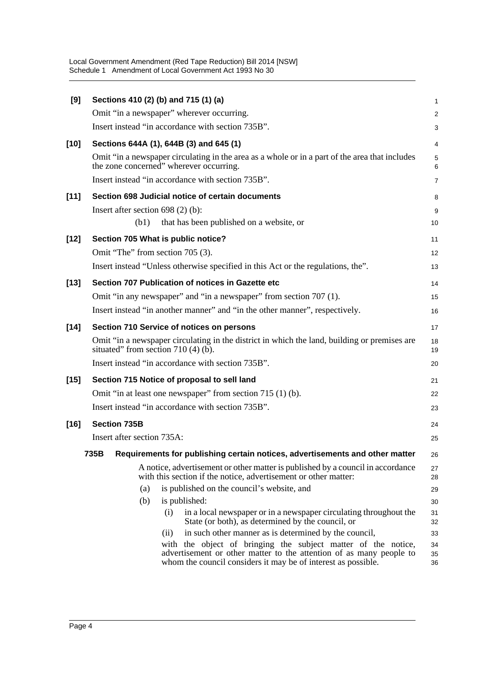Local Government Amendment (Red Tape Reduction) Bill 2014 [NSW] Schedule 1 Amendment of Local Government Act 1993 No 30

| [9]    | Sections 410 (2) (b) and 715 (1) (a)                                                                                                                                                                  | 1              |  |  |  |
|--------|-------------------------------------------------------------------------------------------------------------------------------------------------------------------------------------------------------|----------------|--|--|--|
|        | Omit "in a newspaper" wherever occurring.                                                                                                                                                             | $\overline{c}$ |  |  |  |
|        | Insert instead "in accordance with section 735B".                                                                                                                                                     | 3              |  |  |  |
| $[10]$ | Sections 644A (1), 644B (3) and 645 (1)                                                                                                                                                               | 4              |  |  |  |
|        | Omit "in a newspaper circulating in the area as a whole or in a part of the area that includes<br>the zone concerned" wherever occurring.                                                             | 5<br>6         |  |  |  |
|        | Insert instead "in accordance with section 735B".                                                                                                                                                     | 7              |  |  |  |
| $[11]$ | Section 698 Judicial notice of certain documents                                                                                                                                                      | 8              |  |  |  |
|        | Insert after section $698(2)$ (b):<br>(b1)<br>that has been published on a website, or                                                                                                                | 9<br>10        |  |  |  |
| $[12]$ | Section 705 What is public notice?                                                                                                                                                                    | 11             |  |  |  |
|        | Omit "The" from section 705 (3).                                                                                                                                                                      | 12             |  |  |  |
|        | Insert instead "Unless otherwise specified in this Act or the regulations, the".                                                                                                                      | 13             |  |  |  |
| $[13]$ | Section 707 Publication of notices in Gazette etc                                                                                                                                                     |                |  |  |  |
|        | Omit "in any newspaper" and "in a newspaper" from section 707 (1).                                                                                                                                    | 15             |  |  |  |
|        | Insert instead "in another manner" and "in the other manner", respectively.                                                                                                                           | 16             |  |  |  |
| $[14]$ | Section 710 Service of notices on persons                                                                                                                                                             |                |  |  |  |
|        | Omit "in a newspaper circulating in the district in which the land, building or premises are<br>situated" from section 710 (4) (b).                                                                   | 18<br>19       |  |  |  |
|        | Insert instead "in accordance with section 735B".                                                                                                                                                     | 20             |  |  |  |
| $[15]$ | Section 715 Notice of proposal to sell land                                                                                                                                                           |                |  |  |  |
|        | Omit "in at least one newspaper" from section 715 (1) (b).                                                                                                                                            |                |  |  |  |
|        | Insert instead "in accordance with section 735B".                                                                                                                                                     | 23             |  |  |  |
| $[16]$ | <b>Section 735B</b>                                                                                                                                                                                   | 24             |  |  |  |
|        | Insert after section 735A:                                                                                                                                                                            | 25             |  |  |  |
|        | 735B<br>Requirements for publishing certain notices, advertisements and other matter                                                                                                                  | 26             |  |  |  |
|        | A notice, advertisement or other matter is published by a council in accordance<br>with this section if the notice, advertisement or other matter:                                                    | 27<br>28       |  |  |  |
|        | (a)<br>is published on the council's website, and                                                                                                                                                     | 29             |  |  |  |
|        | (b)<br>is published:                                                                                                                                                                                  | 30             |  |  |  |
|        | in a local newspaper or in a newspaper circulating throughout the<br>(i)<br>State (or both), as determined by the council, or                                                                         | 31<br>32       |  |  |  |
|        | in such other manner as is determined by the council,<br>(ii)                                                                                                                                         | 33             |  |  |  |
|        | with the object of bringing the subject matter of the notice,<br>advertisement or other matter to the attention of as many people to<br>whom the council considers it may be of interest as possible. | 34<br>35<br>36 |  |  |  |
|        |                                                                                                                                                                                                       |                |  |  |  |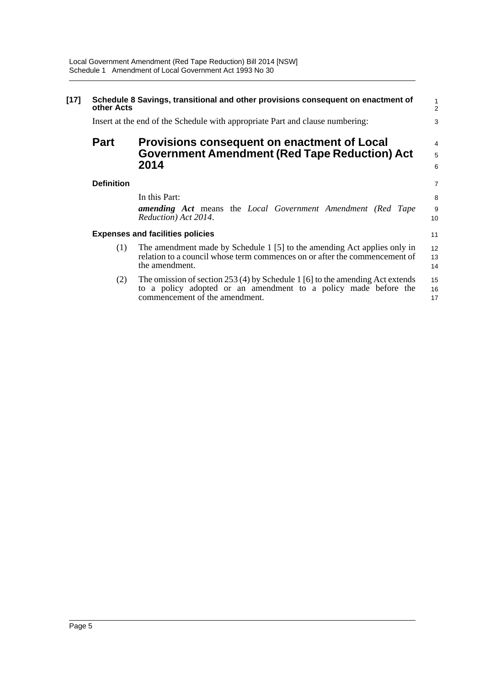| $[17]$ | Schedule 8 Savings, transitional and other provisions consequent on enactment of<br>other Acts<br>Insert at the end of the Schedule with appropriate Part and clause numbering: |                                                                                                                                                                                     |                   |  |  |
|--------|---------------------------------------------------------------------------------------------------------------------------------------------------------------------------------|-------------------------------------------------------------------------------------------------------------------------------------------------------------------------------------|-------------------|--|--|
|        | <b>Part</b>                                                                                                                                                                     | Provisions consequent on enactment of Local<br><b>Government Amendment (Red Tape Reduction) Act</b><br>2014                                                                         | 4<br>5<br>6       |  |  |
|        | <b>Definition</b>                                                                                                                                                               | In this Part:<br><b>amending Act</b> means the Local Government Amendment (Red Tape<br>Reduction) Act 2014.                                                                         | 7<br>8<br>9<br>10 |  |  |
|        |                                                                                                                                                                                 | <b>Expenses and facilities policies</b>                                                                                                                                             | 11                |  |  |
|        | (1)                                                                                                                                                                             | The amendment made by Schedule 1 [5] to the amending Act applies only in<br>relation to a council whose term commences on or after the commencement of<br>the amendment.            | 12<br>13<br>14    |  |  |
|        | (2)                                                                                                                                                                             | The omission of section $253(4)$ by Schedule 1 [6] to the amending Act extends<br>to a policy adopted or an amendment to a policy made before the<br>commencement of the amendment. | 15<br>16<br>17    |  |  |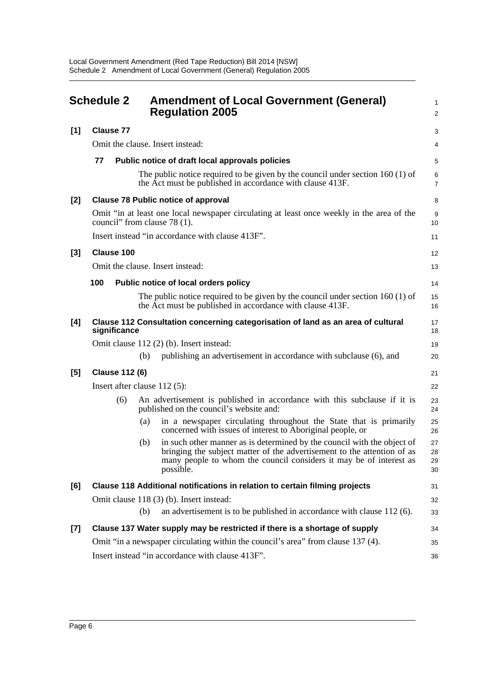<span id="page-9-0"></span>

| <b>Schedule 2</b> |                                                                             |     | <b>Amendment of Local Government (General)</b><br><b>Regulation 2005</b>                                                                                                                                                              |                      |  |  |
|-------------------|-----------------------------------------------------------------------------|-----|---------------------------------------------------------------------------------------------------------------------------------------------------------------------------------------------------------------------------------------|----------------------|--|--|
| [1]               | <b>Clause 77</b>                                                            |     |                                                                                                                                                                                                                                       | 3                    |  |  |
|                   |                                                                             |     | Omit the clause. Insert instead:                                                                                                                                                                                                      | 4                    |  |  |
|                   | 77                                                                          |     | Public notice of draft local approvals policies                                                                                                                                                                                       | 5                    |  |  |
|                   |                                                                             |     | The public notice required to be given by the council under section $160(1)$ of<br>the Act must be published in accordance with clause 413F.                                                                                          | 6<br>$\overline{7}$  |  |  |
| [2]               |                                                                             |     | <b>Clause 78 Public notice of approval</b>                                                                                                                                                                                            | 8                    |  |  |
|                   | council" from clause 78 (1).                                                |     | Omit "in at least one local newspaper circulating at least once weekly in the area of the                                                                                                                                             | 9<br>10              |  |  |
|                   |                                                                             |     | Insert instead "in accordance with clause 413F".                                                                                                                                                                                      | 11                   |  |  |
| [3]               | <b>Clause 100</b>                                                           |     |                                                                                                                                                                                                                                       | 12                   |  |  |
|                   |                                                                             |     | Omit the clause. Insert instead:                                                                                                                                                                                                      | 13                   |  |  |
|                   | 100                                                                         |     | Public notice of local orders policy                                                                                                                                                                                                  | 14                   |  |  |
|                   |                                                                             |     | The public notice required to be given by the council under section $160(1)$ of<br>the Act must be published in accordance with clause 413F.                                                                                          | 15<br>16             |  |  |
| [4]               | significance                                                                |     | Clause 112 Consultation concerning categorisation of land as an area of cultural                                                                                                                                                      | 17<br>18             |  |  |
|                   |                                                                             |     | Omit clause 112 (2) (b). Insert instead:                                                                                                                                                                                              | 19                   |  |  |
|                   |                                                                             | (b) | publishing an advertisement in accordance with subclause (6), and                                                                                                                                                                     | 20                   |  |  |
| $[5]$             | <b>Clause 112 (6)</b>                                                       |     |                                                                                                                                                                                                                                       |                      |  |  |
|                   | Insert after clause $112(5)$ :                                              |     |                                                                                                                                                                                                                                       |                      |  |  |
|                   | (6)                                                                         |     | An advertisement is published in accordance with this subclause if it is<br>published on the council's website and:                                                                                                                   | 23<br>24             |  |  |
|                   |                                                                             | (a) | in a newspaper circulating throughout the State that is primarily<br>concerned with issues of interest to Aboriginal people, or                                                                                                       | 25<br>26             |  |  |
|                   |                                                                             | (b) | in such other manner as is determined by the council with the object of<br>bringing the subject matter of the advertisement to the attention of as<br>many people to whom the council considers it may be of interest as<br>possible. | 27<br>28<br>29<br>30 |  |  |
| [6]               | Clause 118 Additional notifications in relation to certain filming projects |     |                                                                                                                                                                                                                                       |                      |  |  |
|                   |                                                                             |     | Omit clause 118 (3) (b). Insert instead:                                                                                                                                                                                              | 32                   |  |  |
|                   |                                                                             | (b) | an advertisement is to be published in accordance with clause $112(6)$ .                                                                                                                                                              | 33                   |  |  |
| $[7]$             |                                                                             |     | Clause 137 Water supply may be restricted if there is a shortage of supply                                                                                                                                                            | 34                   |  |  |
|                   |                                                                             |     | Omit "in a newspaper circulating within the council's area" from clause 137 (4).                                                                                                                                                      | 35                   |  |  |
|                   | Insert instead "in accordance with clause 413F".                            |     |                                                                                                                                                                                                                                       |                      |  |  |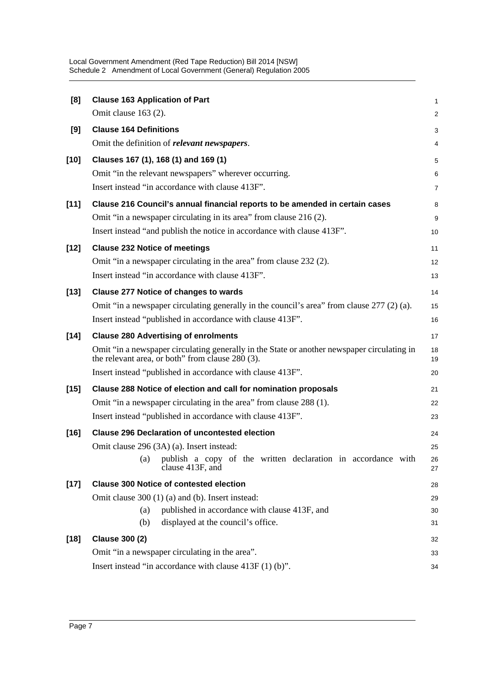Local Government Amendment (Red Tape Reduction) Bill 2014 [NSW] Schedule 2 Amendment of Local Government (General) Regulation 2005

| [8]    | <b>Clause 163 Application of Part</b>                                                                                                           | 1              |  |  |  |
|--------|-------------------------------------------------------------------------------------------------------------------------------------------------|----------------|--|--|--|
|        | Omit clause $163(2)$ .                                                                                                                          | 2              |  |  |  |
| [9]    | <b>Clause 164 Definitions</b>                                                                                                                   | 3              |  |  |  |
|        | Omit the definition of <i>relevant newspapers</i> .                                                                                             | 4              |  |  |  |
| $[10]$ | Clauses 167 (1), 168 (1) and 169 (1)                                                                                                            | 5              |  |  |  |
|        | Omit "in the relevant newspapers" wherever occurring.                                                                                           | 6              |  |  |  |
|        | Insert instead "in accordance with clause 413F".                                                                                                | $\overline{7}$ |  |  |  |
| $[11]$ | Clause 216 Council's annual financial reports to be amended in certain cases                                                                    | 8              |  |  |  |
|        | Omit "in a newspaper circulating in its area" from clause 216 (2).                                                                              | 9              |  |  |  |
|        | Insert instead "and publish the notice in accordance with clause 413F".                                                                         | 10             |  |  |  |
| $[12]$ | <b>Clause 232 Notice of meetings</b>                                                                                                            | 11             |  |  |  |
|        | Omit "in a newspaper circulating in the area" from clause 232 (2).                                                                              | 12             |  |  |  |
|        | Insert instead "in accordance with clause 413F".                                                                                                | 13             |  |  |  |
| $[13]$ | <b>Clause 277 Notice of changes to wards</b>                                                                                                    | 14             |  |  |  |
|        | Omit "in a newspaper circulating generally in the council's area" from clause 277 (2) (a).                                                      | 15             |  |  |  |
|        | Insert instead "published in accordance with clause 413F".                                                                                      | 16             |  |  |  |
| $[14]$ | <b>Clause 280 Advertising of enrolments</b>                                                                                                     | 17             |  |  |  |
|        | Omit "in a newspaper circulating generally in the State or another newspaper circulating in<br>the relevant area, or both" from clause 280 (3). | 18<br>19       |  |  |  |
|        | Insert instead "published in accordance with clause 413F".                                                                                      | 20             |  |  |  |
| $[15]$ | Clause 288 Notice of election and call for nomination proposals                                                                                 |                |  |  |  |
|        | Omit "in a newspaper circulating in the area" from clause 288 (1).                                                                              | 22             |  |  |  |
|        | Insert instead "published in accordance with clause 413F".                                                                                      | 23             |  |  |  |
| $[16]$ | <b>Clause 296 Declaration of uncontested election</b>                                                                                           |                |  |  |  |
|        | Omit clause 296 (3A) (a). Insert instead:                                                                                                       | 25             |  |  |  |
|        | publish a copy of the written declaration in accordance with<br>(a)<br>clause 413F, and                                                         | 26<br>27       |  |  |  |
| $[17]$ | <b>Clause 300 Notice of contested election</b>                                                                                                  |                |  |  |  |
|        | Omit clause 300 (1) (a) and (b). Insert instead:                                                                                                | 29             |  |  |  |
|        | published in accordance with clause 413F, and<br>(a)                                                                                            | 30             |  |  |  |
|        | displayed at the council's office.<br>(b)                                                                                                       | 31             |  |  |  |
| $[18]$ | <b>Clause 300 (2)</b>                                                                                                                           | 32             |  |  |  |
|        | Omit "in a newspaper circulating in the area".                                                                                                  | 33             |  |  |  |
|        | Insert instead "in accordance with clause $413F(1)(b)$ ".                                                                                       | 34             |  |  |  |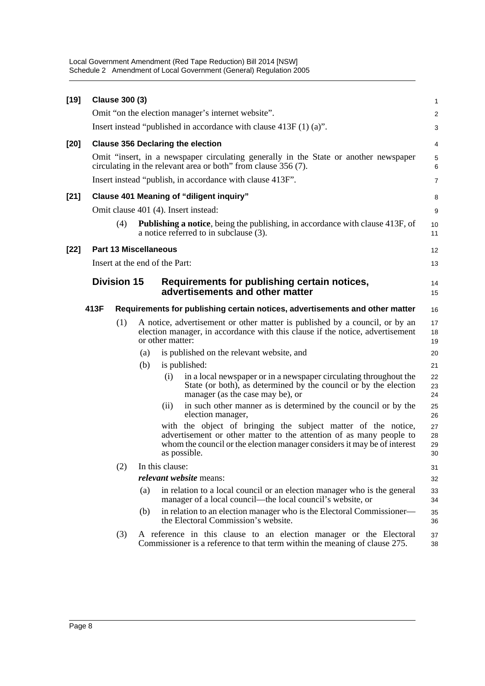Local Government Amendment (Red Tape Reduction) Bill 2014 [NSW] Schedule 2 Amendment of Local Government (General) Regulation 2005

| $[19]$ |      | <b>Clause 300 (3)</b>                                               |     |                                                    |                                                                                                                                                                                                                                  | 1                    |
|--------|------|---------------------------------------------------------------------|-----|----------------------------------------------------|----------------------------------------------------------------------------------------------------------------------------------------------------------------------------------------------------------------------------------|----------------------|
|        |      |                                                                     |     |                                                    | Omit "on the election manager's internet website".                                                                                                                                                                               | $\overline{c}$       |
|        |      | Insert instead "published in accordance with clause $413F(1)(a)$ ". |     |                                                    |                                                                                                                                                                                                                                  |                      |
| [20]   |      |                                                                     |     |                                                    | <b>Clause 356 Declaring the election</b>                                                                                                                                                                                         | 4                    |
|        |      |                                                                     |     |                                                    | Omit "insert, in a newspaper circulating generally in the State or another newspaper<br>circulating in the relevant area or both" from clause 356 (7).                                                                           | 5<br>6               |
|        |      |                                                                     |     |                                                    | Insert instead "publish, in accordance with clause 413F".                                                                                                                                                                        | 7                    |
| $[21]$ |      |                                                                     |     |                                                    | <b>Clause 401 Meaning of "diligent inquiry"</b>                                                                                                                                                                                  | 8                    |
|        |      |                                                                     |     |                                                    | Omit clause 401 (4). Insert instead:                                                                                                                                                                                             | 9                    |
|        |      | (4)                                                                 |     |                                                    | Publishing a notice, being the publishing, in accordance with clause 413F, of<br>a notice referred to in subclause (3).                                                                                                          | 10<br>11             |
| $[22]$ |      | <b>Part 13 Miscellaneous</b>                                        |     |                                                    |                                                                                                                                                                                                                                  | 12                   |
|        |      |                                                                     |     | Insert at the end of the Part:                     |                                                                                                                                                                                                                                  | 13                   |
|        |      | <b>Division 15</b>                                                  |     | Requirements for publishing certain notices,<br>14 |                                                                                                                                                                                                                                  |                      |
|        |      |                                                                     |     |                                                    | advertisements and other matter                                                                                                                                                                                                  | 15                   |
|        | 413F |                                                                     |     |                                                    | Requirements for publishing certain notices, advertisements and other matter                                                                                                                                                     | 16                   |
|        |      | (1)                                                                 |     | or other matter:                                   | A notice, advertisement or other matter is published by a council, or by an<br>election manager, in accordance with this clause if the notice, advertisement                                                                     | 17<br>18<br>19       |
|        |      |                                                                     | (a) |                                                    | is published on the relevant website, and                                                                                                                                                                                        | 20                   |
|        |      |                                                                     | (b) |                                                    | is published:                                                                                                                                                                                                                    | 21                   |
|        |      |                                                                     |     | (i)                                                | in a local newspaper or in a newspaper circulating throughout the<br>State (or both), as determined by the council or by the election<br>manager (as the case may be), or                                                        | 22<br>23<br>24       |
|        |      |                                                                     |     | (ii)                                               | in such other manner as is determined by the council or by the<br>election manager,                                                                                                                                              | 25<br>26             |
|        |      |                                                                     |     |                                                    | with the object of bringing the subject matter of the notice,<br>advertisement or other matter to the attention of as many people to<br>whom the council or the election manager considers it may be of interest<br>as possible. | 27<br>28<br>29<br>30 |
|        |      | (2)                                                                 |     | In this clause:                                    |                                                                                                                                                                                                                                  | 31                   |
|        |      |                                                                     |     |                                                    | <i>relevant</i> website means:                                                                                                                                                                                                   | 32                   |
|        |      |                                                                     | (a) |                                                    | in relation to a local council or an election manager who is the general<br>manager of a local council—the local council's website, or                                                                                           | 33<br>34             |
|        |      |                                                                     | (b) |                                                    | in relation to an election manager who is the Electoral Commissioner—<br>the Electoral Commission's website.                                                                                                                     | 35<br>36             |
|        |      | (3)                                                                 |     |                                                    | A reference in this clause to an election manager or the Electoral<br>Commissioner is a reference to that term within the meaning of clause 275.                                                                                 | 37<br>38             |